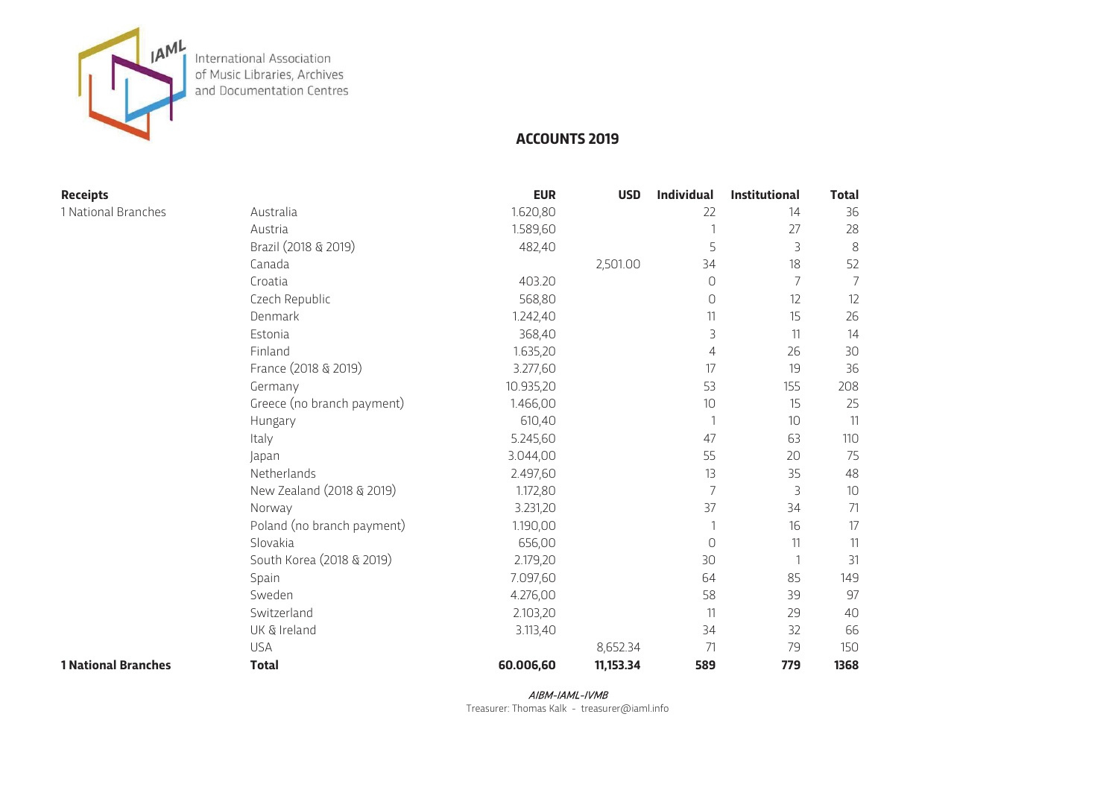

#### **ACCOUNTS 2019**

| <b>Receipts</b>            |                            | <b>EUR</b> | <b>USD</b> | <b>Individual</b> | <b>Institutional</b> | <b>Total</b> |
|----------------------------|----------------------------|------------|------------|-------------------|----------------------|--------------|
| 1 National Branches        | Australia                  | 1.620,80   |            | 22                | 14                   | 36           |
|                            | Austria                    | 1.589,60   |            |                   | 27                   | 28           |
|                            | Brazil (2018 & 2019)       | 482,40     |            | 5                 | 3                    | 8            |
|                            | Canada                     |            | 2,501.00   | 34                | 18                   | 52           |
|                            | Croatia                    | 403.20     |            | 0                 | $\overline{7}$       | 7            |
|                            | Czech Republic             | 568,80     |            | $\Omega$          | 12                   | 12           |
|                            | Denmark                    | 1.242,40   |            | 11                | 15                   | 26           |
|                            | Estonia                    | 368,40     |            | 3                 | 11                   | 14           |
|                            | Finland                    | 1.635,20   |            | 4                 | 26                   | 30           |
|                            | France (2018 & 2019)       | 3.277,60   |            | 17                | 19                   | 36           |
|                            | Germany                    | 10.935,20  |            | 53                | 155                  | 208          |
|                            | Greece (no branch payment) | 1.466,00   |            | 10                | 15                   | 25           |
|                            | Hungary                    | 610,40     |            | 1                 | 10                   | 11           |
|                            | Italy                      | 5.245,60   |            | 47                | 63                   | 110          |
|                            | Japan                      | 3.044,00   |            | 55                | 20                   | 75           |
|                            | Netherlands                | 2.497,60   |            | 13                | 35                   | 48           |
|                            | New Zealand (2018 & 2019)  | 1.172,80   |            | $\overline{7}$    | 3                    | 10           |
|                            | Norway                     | 3.231,20   |            | 37                | 34                   | 71           |
|                            | Poland (no branch payment) | 1.190,00   |            |                   | 16                   | 17           |
|                            | Slovakia                   | 656,00     |            | $\Omega$          | 11                   | 11           |
|                            | South Korea (2018 & 2019)  | 2.179,20   |            | 30                |                      | 31           |
|                            | Spain                      | 7.097,60   |            | 64                | 85                   | 149          |
|                            | Sweden                     | 4.276,00   |            | 58                | 39                   | 97           |
|                            | Switzerland                | 2.103,20   |            | 11                | 29                   | 40           |
|                            | UK & Ireland               | 3.113,40   |            | 34                | 32                   | 66           |
|                            | <b>USA</b>                 |            | 8,652.34   | 71                | 79                   | 150          |
| <b>1 National Branches</b> | <b>Total</b>               | 60.006,60  | 11,153.34  | 589               | 779                  | 1368         |

AIBM-IAML-IVMB

Treasurer: Thomas Kalk - treasurer@iaml.info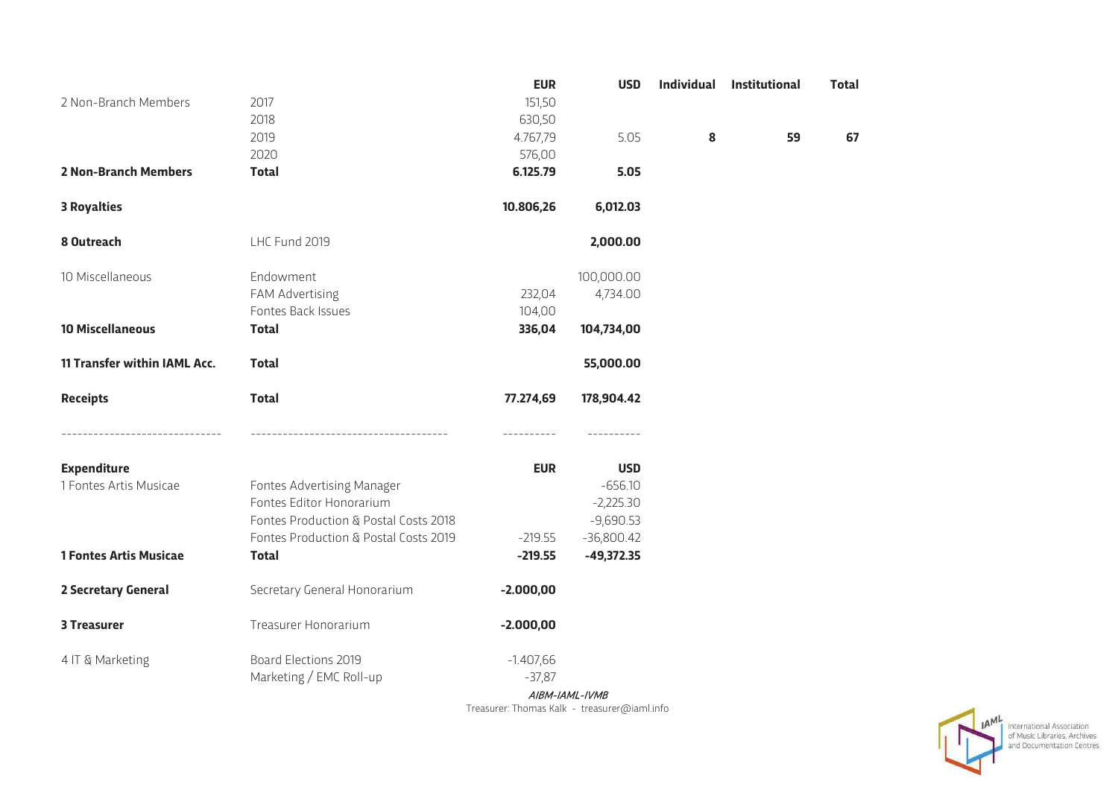|                                               |                                       | <b>EUR</b>  | <b>USD</b>                     | <b>Individual</b> | Institutional | <b>Total</b> |
|-----------------------------------------------|---------------------------------------|-------------|--------------------------------|-------------------|---------------|--------------|
| 2 Non-Branch Members                          | 2017                                  | 151,50      |                                |                   |               |              |
|                                               | 2018                                  | 630,50      |                                |                   |               |              |
|                                               | 2019                                  | 4.767,79    | 5.05                           | 8                 | 59            | 67           |
|                                               | 2020                                  | 576,00      |                                |                   |               |              |
| <b>2 Non-Branch Members</b>                   | <b>Total</b>                          | 6.125.79    | 5.05                           |                   |               |              |
| <b>3 Royalties</b>                            |                                       | 10.806,26   | 6,012.03                       |                   |               |              |
| 8 Outreach                                    | LHC Fund 2019                         |             | 2,000.00                       |                   |               |              |
| 10 Miscellaneous                              | Endowment                             |             | 100,000.00                     |                   |               |              |
|                                               | FAM Advertising                       | 232,04      | 4,734.00                       |                   |               |              |
|                                               | Fontes Back Issues                    | 104,00      |                                |                   |               |              |
| <b>10 Miscellaneous</b>                       | <b>Total</b>                          | 336,04      | 104,734,00                     |                   |               |              |
| 11 Transfer within IAML Acc.                  | <b>Total</b>                          |             | 55,000.00                      |                   |               |              |
| <b>Receipts</b>                               | <b>Total</b>                          | 77.274,69   | 178,904.42                     |                   |               |              |
| -----------------------<br><b>Expenditure</b> | ----------------------------------    | <b>EUR</b>  | ----------<br><b>USD</b>       |                   |               |              |
| 1 Fontes Artis Musicae                        | Fontes Advertising Manager            |             | $-656.10$                      |                   |               |              |
|                                               | Fontes Editor Honorarium              |             | $-2,225.30$                    |                   |               |              |
|                                               | Fontes Production & Postal Costs 2018 |             | $-9,690.53$                    |                   |               |              |
|                                               | Fontes Production & Postal Costs 2019 | $-219.55$   | $-36,800.42$                   |                   |               |              |
| <b>1 Fontes Artis Musicae</b>                 | <b>Total</b>                          | $-219.55$   | $-49,372.35$                   |                   |               |              |
| 2 Secretary General                           | Secretary General Honorarium          | $-2.000,00$ |                                |                   |               |              |
| <b>3 Treasurer</b>                            | Treasurer Honorarium                  | $-2.000,00$ |                                |                   |               |              |
| 4 IT & Marketing                              | Board Elections 2019                  | $-1.407,66$ |                                |                   |               |              |
|                                               | Marketing / EMC Roll-up               | $-37,87$    |                                |                   |               |              |
|                                               |                                       |             | $A1$ $D1$ $A 1$ $A1$ $A1$ $B1$ |                   |               |              |

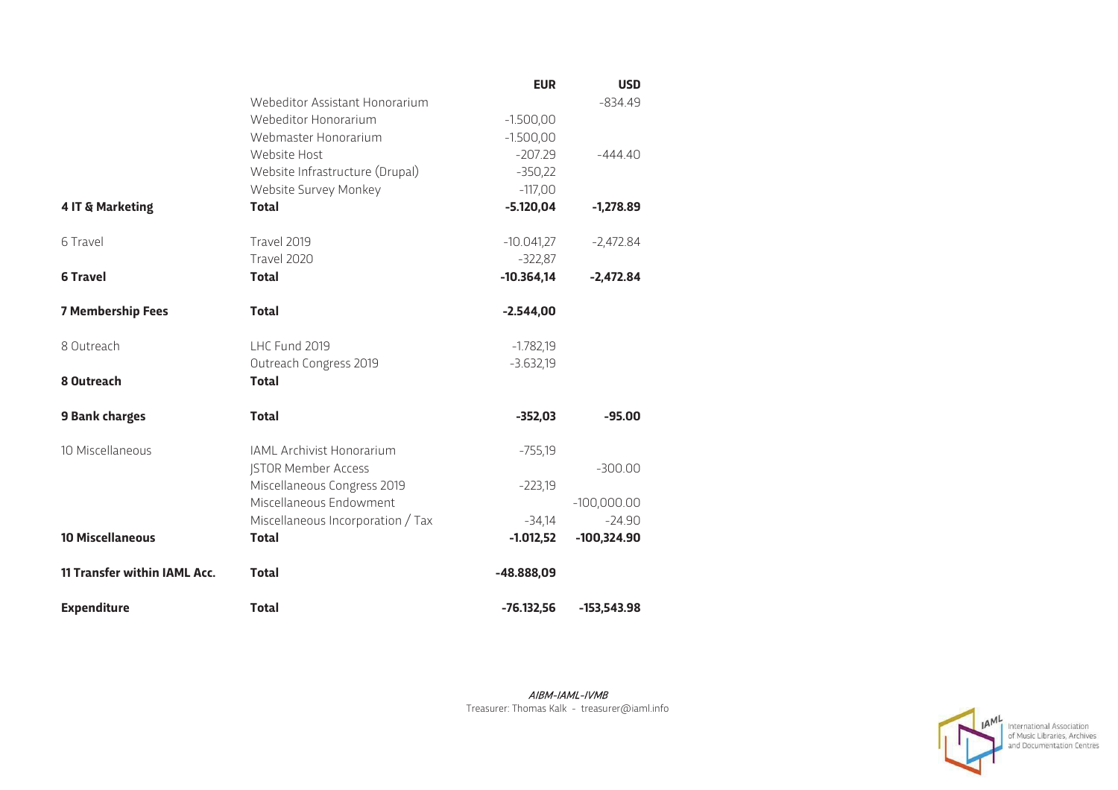|                                     |                                   | <b>EUR</b>   | <b>USD</b>    |
|-------------------------------------|-----------------------------------|--------------|---------------|
|                                     | Webeditor Assistant Honorarium    |              | $-834.49$     |
|                                     | Webeditor Honorarium              | $-1.500,00$  |               |
|                                     | Webmaster Honorarium              | $-1.500,00$  |               |
|                                     | Website Host                      | $-207.29$    | $-444.40$     |
|                                     | Website Infrastructure (Drupal)   | $-350,22$    |               |
|                                     | Website Survey Monkey             | $-117,00$    |               |
| 4 IT & Marketing                    | <b>Total</b>                      | $-5.120,04$  | $-1,278.89$   |
| 6 Travel                            | Travel 2019                       | $-10.041,27$ | $-2,472.84$   |
|                                     | Travel 2020                       | $-322,87$    |               |
| <b>6 Travel</b>                     | <b>Total</b>                      | $-10.364,14$ | $-2,472.84$   |
| <b>7 Membership Fees</b>            | <b>Total</b>                      | $-2.544,00$  |               |
| 8 Outreach                          | LHC Fund 2019                     | $-1.782,19$  |               |
|                                     | Outreach Congress 2019            | $-3.632,19$  |               |
| 8 Outreach                          | <b>Total</b>                      |              |               |
| <b>9 Bank charges</b>               | <b>Total</b>                      | $-352,03$    | $-95.00$      |
| 10 Miscellaneous                    | IAML Archivist Honorarium         | $-755,19$    |               |
|                                     | <b>JSTOR Member Access</b>        |              | $-300.00$     |
|                                     | Miscellaneous Congress 2019       | $-223,19$    |               |
|                                     | Miscellaneous Endowment           |              | $-100,000.00$ |
|                                     | Miscellaneous Incorporation / Tax | $-34,14$     | $-24.90$      |
| <b>10 Miscellaneous</b>             | <b>Total</b>                      | $-1.012,52$  | $-100,324.90$ |
| <b>11 Transfer within IAML Acc.</b> | <b>Total</b>                      | $-48.888,09$ |               |
| <b>Expenditure</b>                  | <b>Total</b>                      | $-76.132,56$ | $-153,543.98$ |

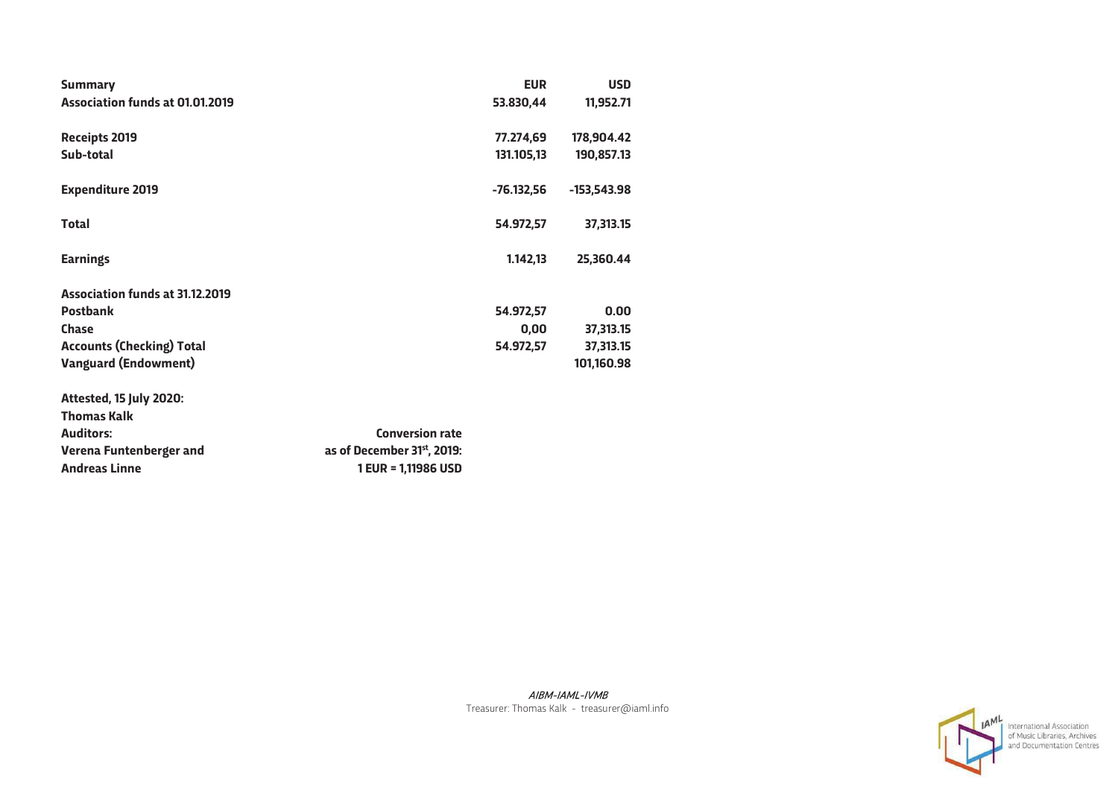| Summary                                | <b>EUR</b>   | <b>USD</b>    |
|----------------------------------------|--------------|---------------|
| <b>Association funds at 01.01.2019</b> | 53.830,44    | 11,952.71     |
| <b>Receipts 2019</b>                   | 77.274,69    | 178,904.42    |
| Sub-total                              | 131.105,13   | 190,857.13    |
| <b>Expenditure 2019</b>                | $-76.132,56$ | $-153,543.98$ |
| <b>Total</b>                           | 54.972,57    | 37,313.15     |
| <b>Earnings</b>                        | 1.142,13     | 25,360.44     |
| <b>Association funds at 31.12.2019</b> |              |               |
| <b>Postbank</b>                        | 54.972,57    | 0.00          |
| <b>Chase</b>                           | 0,00         | 37,313.15     |
| <b>Accounts (Checking) Total</b>       | 54.972,57    | 37,313.15     |
| <b>Vanguard (Endowment)</b>            |              | 101,160.98    |
| Attested, 15 July 2020:                |              |               |

| Thomas Kalk             |                                         |
|-------------------------|-----------------------------------------|
| <b>Auditors:</b>        | <b>Conversion rate</b>                  |
| Verena Funtenberger and | as of December 31 <sup>st</sup> , 2019: |
| <b>Andreas Linne</b>    | 1 EUR = 1.11986 USD                     |
|                         |                                         |

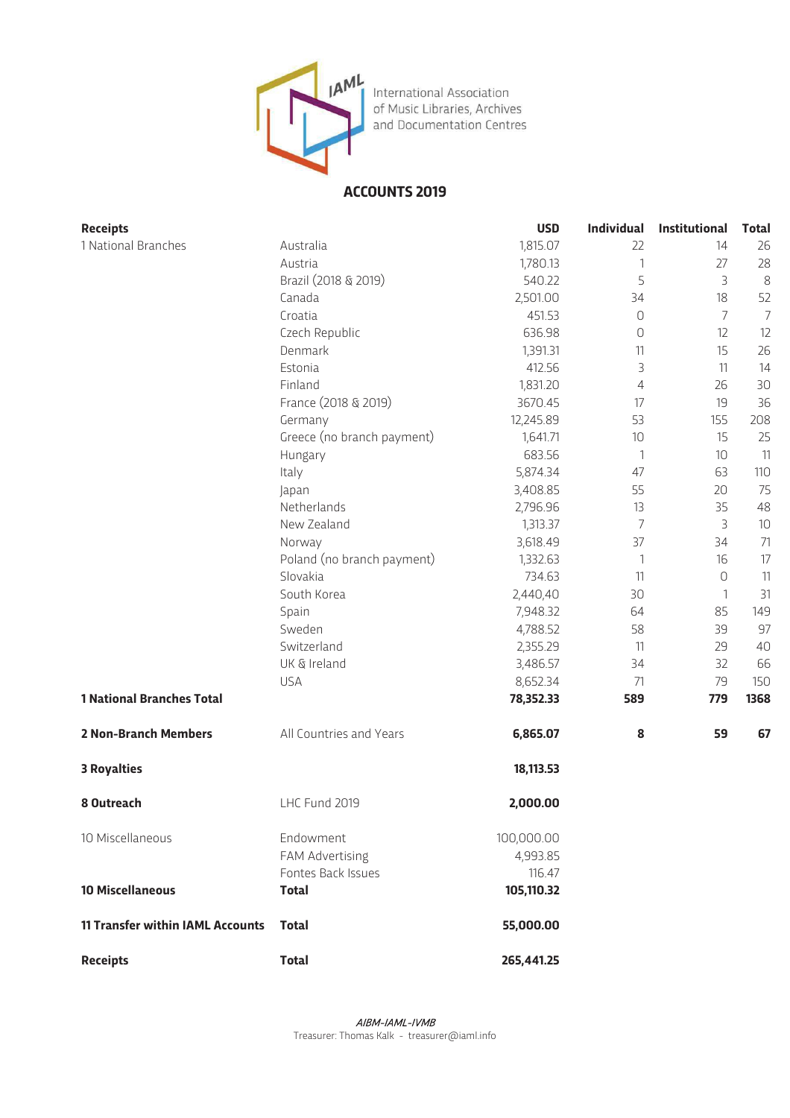

### **ACCOUNTS 2019**

| <b>Receipts</b>                         |                            | <b>USD</b> | <b>Individual</b> | Institutional  | <b>Total</b>   |
|-----------------------------------------|----------------------------|------------|-------------------|----------------|----------------|
| 1 National Branches                     | Australia                  | 1,815.07   | 22                | 14             | 26             |
|                                         | Austria                    | 1,780.13   | 1                 | 27             | 28             |
|                                         | Brazil (2018 & 2019)       | 540.22     | 5                 | 3              | 8              |
|                                         | Canada                     | 2,501.00   | 34                | 18             | 52             |
|                                         | Croatia                    | 451.53     | 0                 | $\overline{7}$ | $\overline{7}$ |
|                                         | Czech Republic             | 636.98     | 0                 | 12             | 12             |
|                                         | Denmark                    | 1,391.31   | 11                | 15             | 26             |
|                                         | Estonia                    | 412.56     | 3                 | 11             | 14             |
|                                         | Finland                    | 1,831.20   | 4                 | 26             | 30             |
|                                         | France (2018 & 2019)       | 3670.45    | 17                | 19             | 36             |
|                                         | Germany                    | 12,245.89  | 53                | 155            | 208            |
|                                         | Greece (no branch payment) | 1,641.71   | 10                | 15             | 25             |
|                                         | Hungary                    | 683.56     | $\overline{1}$    | 10             | 11             |
|                                         | Italy                      | 5,874.34   | 47                | 63             | 110            |
|                                         | Japan                      | 3,408.85   | 55                | 20             | 75             |
|                                         | Netherlands                | 2,796.96   | 13                | 35             | 48             |
|                                         | New Zealand                | 1,313.37   | $\overline{7}$    | 3              | 10             |
|                                         | Norway                     | 3,618.49   | 37                | 34             | 71             |
|                                         | Poland (no branch payment) | 1,332.63   | $\mathbf{1}$      | 16             | 17             |
|                                         | Slovakia                   | 734.63     | 11                | $\overline{0}$ | 11             |
|                                         | South Korea                | 2,440,40   | 30                | $\mathbf{1}$   | 31             |
|                                         | Spain                      | 7,948.32   | 64                | 85             | 149            |
|                                         | Sweden                     | 4,788.52   | 58                | 39             | 97             |
|                                         | Switzerland                | 2,355.29   | 11                | 29             | 40             |
|                                         | UK & Ireland               | 3,486.57   | 34                | 32             | 66             |
|                                         | <b>USA</b>                 | 8,652.34   | 71                | 79             | 150            |
| <b>1 National Branches Total</b>        |                            | 78,352.33  | 589               | 779            | 1368           |
| <b>2 Non-Branch Members</b>             | All Countries and Years    | 6,865.07   | 8                 | 59             | 67             |
| <b>3 Royalties</b>                      |                            | 18,113.53  |                   |                |                |
| 8 Outreach                              | LHC Fund 2019              | 2,000.00   |                   |                |                |
| 10 Miscellaneous                        | Endowment                  | 100,000.00 |                   |                |                |
|                                         | FAM Advertising            | 4,993.85   |                   |                |                |
|                                         | Fontes Back Issues         | 116.47     |                   |                |                |
| <b>10 Miscellaneous</b>                 | <b>Total</b>               | 105,110.32 |                   |                |                |
| <b>11 Transfer within IAML Accounts</b> | <b>Total</b>               | 55,000.00  |                   |                |                |
| <b>Receipts</b>                         | <b>Total</b>               | 265,441.25 |                   |                |                |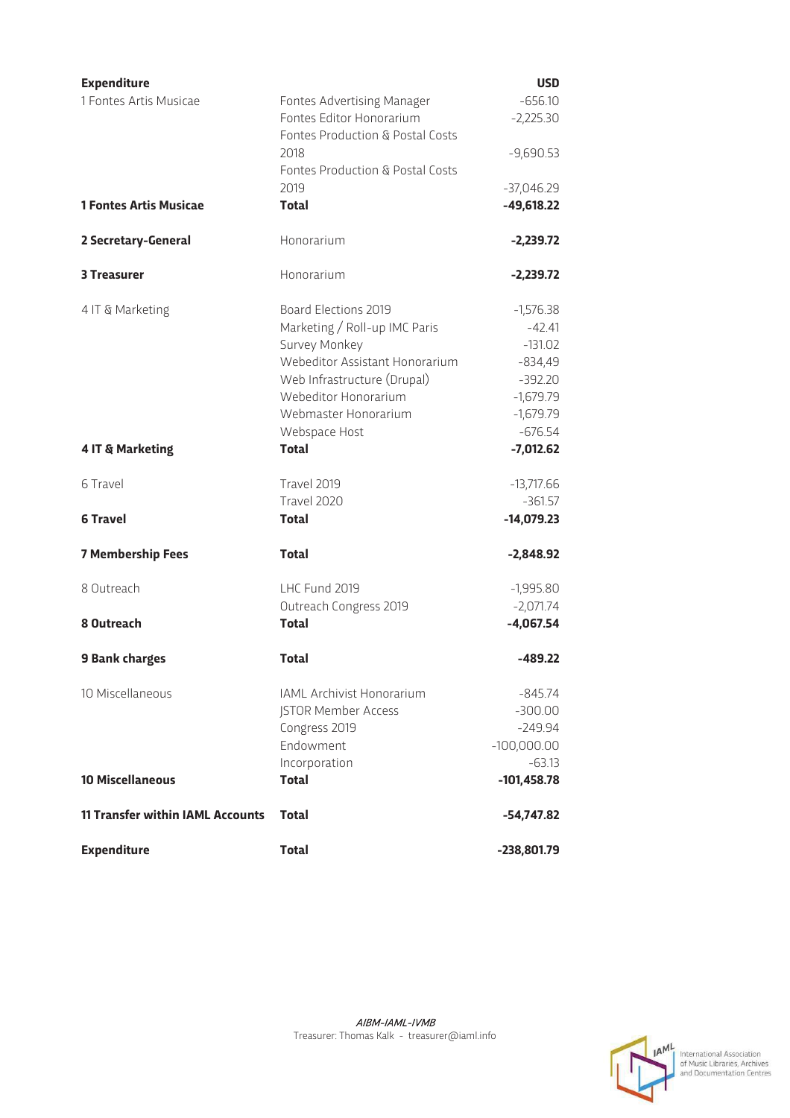| <b>Expenditure</b>                      |                                  | <b>USD</b>    |  |
|-----------------------------------------|----------------------------------|---------------|--|
| 1 Fontes Artis Musicae                  | Fontes Advertising Manager       | $-656.10$     |  |
|                                         | Fontes Editor Honorarium         | $-2,225.30$   |  |
|                                         | Fontes Production & Postal Costs |               |  |
|                                         | 2018                             | $-9,690.53$   |  |
|                                         | Fontes Production & Postal Costs |               |  |
|                                         | 2019                             | $-37,046.29$  |  |
| <b>1 Fontes Artis Musicae</b>           | <b>Total</b>                     | $-49,618.22$  |  |
|                                         |                                  |               |  |
| 2 Secretary-General                     | Honorarium                       | $-2,239.72$   |  |
| <b>3 Treasurer</b>                      | Honorarium                       | $-2,239.72$   |  |
| 4 IT & Marketing                        | Board Elections 2019             | $-1,576.38$   |  |
|                                         | Marketing / Roll-up IMC Paris    | $-42.41$      |  |
|                                         | Survey Monkey                    | $-131.02$     |  |
|                                         | Webeditor Assistant Honorarium   | $-834,49$     |  |
|                                         | Web Infrastructure (Drupal)      | $-392.20$     |  |
|                                         | Webeditor Honorarium             | $-1,679.79$   |  |
|                                         | Webmaster Honorarium             | $-1,679.79$   |  |
|                                         | Webspace Host                    | $-676.54$     |  |
| 4 IT & Marketing                        | <b>Total</b>                     | $-7,012.62$   |  |
|                                         |                                  |               |  |
| 6 Travel                                | Travel 2019                      | $-13,717.66$  |  |
|                                         | Travel 2020                      | $-361.57$     |  |
| <b>6 Travel</b>                         | <b>Total</b>                     | $-14,079.23$  |  |
|                                         |                                  |               |  |
| <b>7 Membership Fees</b>                | <b>Total</b>                     | $-2,848.92$   |  |
| 8 Outreach                              | LHC Fund 2019                    | $-1,995.80$   |  |
|                                         | Outreach Congress 2019           | $-2,071.74$   |  |
| 8 Outreach                              | <b>Total</b>                     | $-4,067.54$   |  |
| <b>9 Bank charges</b>                   | <b>Total</b>                     | $-489.22$     |  |
| 10 Miscellaneous                        | IAML Archivist Honorarium        | $-845.74$     |  |
|                                         | <b>JSTOR Member Access</b>       | $-300.00$     |  |
|                                         | Congress 2019                    | $-249.94$     |  |
|                                         | Endowment                        | $-100,000.00$ |  |
|                                         | Incorporation                    | $-63.13$      |  |
| <b>10 Miscellaneous</b>                 | <b>Total</b>                     | $-101,458.78$ |  |
| <b>11 Transfer within IAML Accounts</b> | <b>Total</b>                     | -54,747.82    |  |
| <b>Expenditure</b>                      | <b>Total</b>                     | -238,801.79   |  |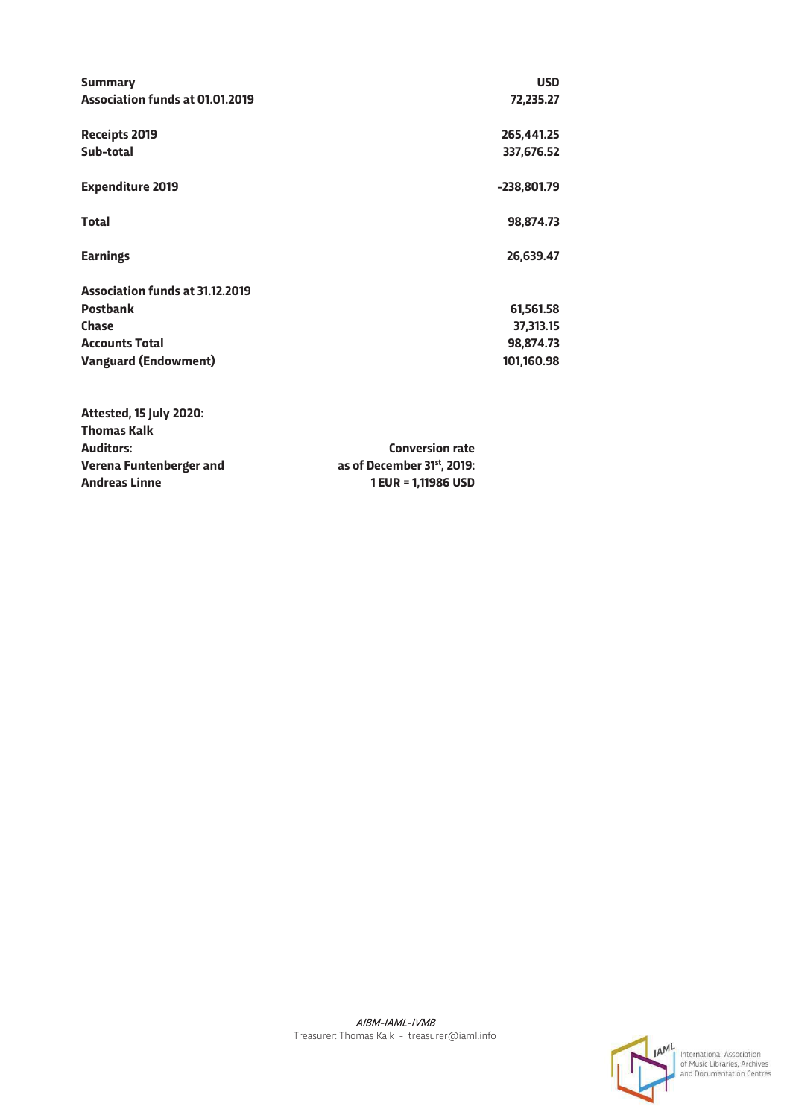| <b>Summary</b><br><b>Association funds at 01.01.2019</b> | <b>USD</b><br>72,235.27  |
|----------------------------------------------------------|--------------------------|
| <b>Receipts 2019</b><br>Sub-total                        | 265,441.25<br>337,676.52 |
| <b>Expenditure 2019</b>                                  | -238,801.79              |
| <b>Total</b>                                             | 98,874.73                |
| <b>Earnings</b>                                          | 26,639.47                |
| <b>Association funds at 31.12.2019</b>                   |                          |
| <b>Postbank</b>                                          | 61,561.58                |
| <b>Chase</b>                                             | 37,313.15                |
| <b>Accounts Total</b>                                    | 98,874.73                |
| <b>Vanguard (Endowment)</b>                              | 101,160.98               |
| Attested, 15 July 2020:                                  |                          |

| <b>Conversion rate</b>     |
|----------------------------|
| as of December 31st, 2019: |
| 1 EUR = 1.11986 USD        |
|                            |



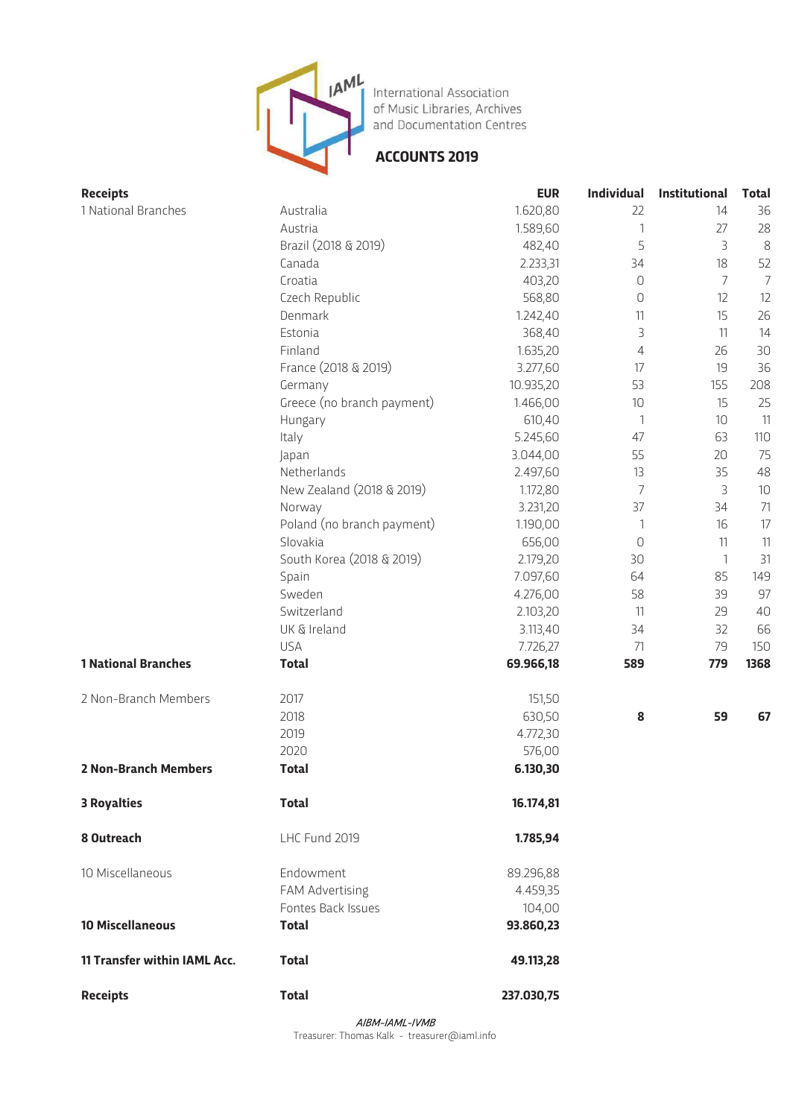

# **ACCOUNTS 2019**

|                            | <b>EUR</b>                                              | <b>Individual</b>                                      | Institutional            | <b>Total</b>   |
|----------------------------|---------------------------------------------------------|--------------------------------------------------------|--------------------------|----------------|
| Australia                  | 1.620,80                                                | 22                                                     | 14                       | 36             |
| Austria                    | 1.589,60                                                | $\mathbf{1}$                                           | 27                       | 28             |
| Brazil (2018 & 2019)       | 482,40                                                  | 5                                                      | 3                        | 8              |
| Canada                     | 2.233,31                                                | 34                                                     | 18                       | 52             |
| Croatia                    | 403,20                                                  | 0                                                      | $\overline{7}$           | $\overline{7}$ |
| Czech Republic             | 568,80                                                  | 0                                                      | 12                       | 12             |
| Denmark                    | 1.242,40                                                | 11                                                     | 15                       | 26             |
| Estonia                    | 368,40                                                  | 3                                                      | 11                       | 14             |
| Finland                    | 1.635,20                                                | $\overline{4}$                                         | 26                       | 30             |
| France (2018 & 2019)       | 3.277,60                                                | 17                                                     | 19                       | 36             |
| Germany                    | 10.935,20                                               | 53                                                     | 155                      | 208            |
| Greece (no branch payment) | 1.466,00                                                | $10$                                                   | 15                       | 25             |
| Hungary                    | 610,40                                                  | $\mathbf{1}$                                           | 10                       | 11             |
| Italy                      | 5.245,60                                                | 47                                                     | 63                       | 110            |
| Japan                      | 3.044,00                                                | 55                                                     | 20                       | 75             |
| Netherlands                | 2.497,60                                                | 13                                                     | 35                       | 48             |
| New Zealand (2018 & 2019)  | 1.172,80                                                | 7                                                      | 3                        | 10             |
| Norway                     | 3.231,20                                                | 37                                                     | 34                       | 71             |
|                            | 1.190,00                                                | $\mathbf{1}$                                           | 16                       | 17             |
| Slovakia                   | 656,00                                                  | 0                                                      | 11                       | 11             |
|                            | 2.179,20                                                | 30                                                     | $\overline{\phantom{a}}$ | 31             |
| Spain                      | 7.097,60                                                | 64                                                     | 85                       | 149            |
| Sweden                     |                                                         | 58                                                     | 39                       | 97             |
| Switzerland                |                                                         | 11                                                     | 29                       | 40             |
| UK & Ireland               |                                                         | 34                                                     | 32                       | 66             |
| <b>USA</b>                 |                                                         | 71                                                     | 79                       | 150            |
| <b>Total</b>               | 69.966,18                                               | 589                                                    | 779                      | 1368           |
| 2017                       | 151,50                                                  |                                                        |                          |                |
| 2018                       | 630,50                                                  | 8                                                      | 59                       | 67             |
| 2019                       | 4.772,30                                                |                                                        |                          |                |
| 2020                       |                                                         |                                                        |                          |                |
| <b>Total</b>               | 6.130,30                                                |                                                        |                          |                |
| <b>Total</b>               | 16.174,81                                               |                                                        |                          |                |
| LHC Fund 2019              | 1.785,94                                                |                                                        |                          |                |
| Endowment                  | 89.296,88                                               |                                                        |                          |                |
| FAM Advertising            | 4.459,35                                                |                                                        |                          |                |
| Fontes Back Issues         | 104,00                                                  |                                                        |                          |                |
| <b>Total</b>               | 93.860,23                                               |                                                        |                          |                |
| <b>Total</b>               | 49.113,28                                               |                                                        |                          |                |
| <b>Total</b>               | 237.030,75                                              |                                                        |                          |                |
|                            | Poland (no branch payment)<br>South Korea (2018 & 2019) | 4.276,00<br>2.103,20<br>3.113,40<br>7.726,27<br>576,00 |                          |                |

AIBM-IAML-IVMB

Treasurer: Thomas Kalk - treasurer@iaml.info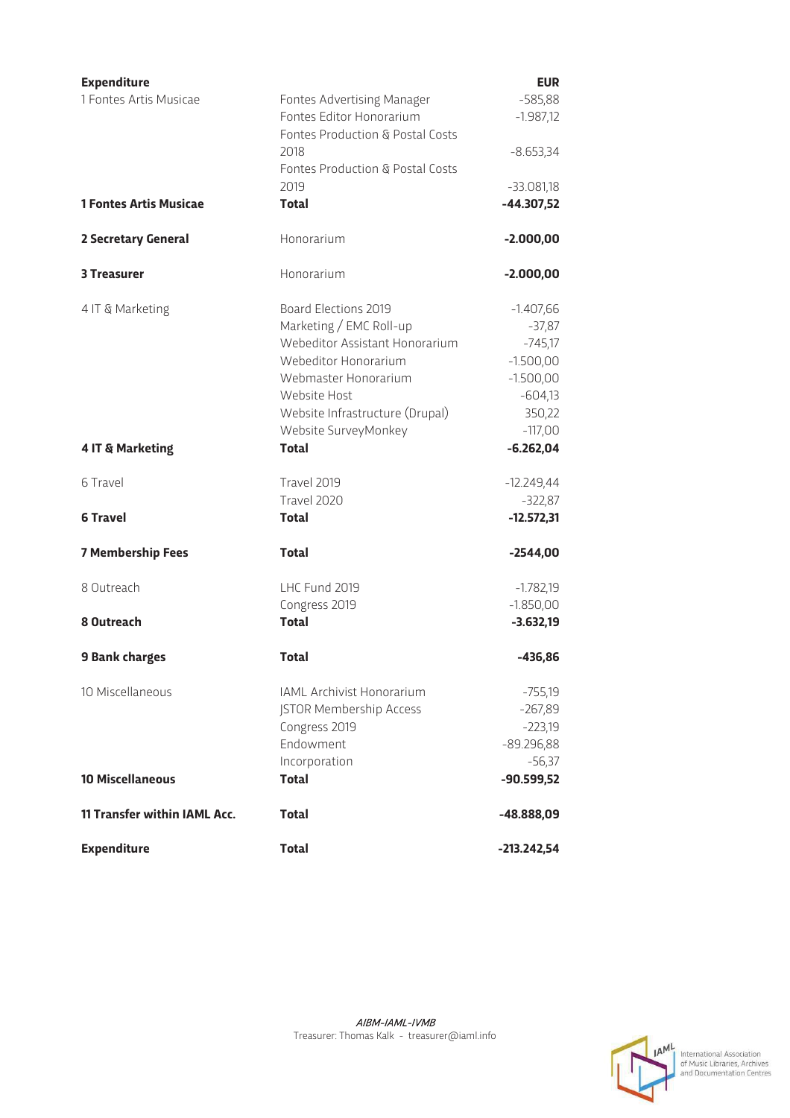| <b>Expenditure</b>                  |                                  | <b>EUR</b>    |  |
|-------------------------------------|----------------------------------|---------------|--|
| 1 Fontes Artis Musicae              | Fontes Advertising Manager       | $-585,88$     |  |
|                                     | Fontes Editor Honorarium         | $-1.987,12$   |  |
|                                     | Fontes Production & Postal Costs |               |  |
|                                     | 2018                             | $-8.653,34$   |  |
|                                     | Fontes Production & Postal Costs |               |  |
|                                     | 2019                             | $-33.081,18$  |  |
| <b>1 Fontes Artis Musicae</b>       | <b>Total</b>                     | $-44.307,52$  |  |
|                                     |                                  |               |  |
| 2 Secretary General                 | Honorarium                       | $-2.000,00$   |  |
| <b>3 Treasurer</b>                  | Honorarium                       | $-2.000,00$   |  |
| 4 IT & Marketing                    | Board Elections 2019             | $-1.407,66$   |  |
|                                     | Marketing / EMC Roll-up          | $-37,87$      |  |
|                                     | Webeditor Assistant Honorarium   | $-745,17$     |  |
|                                     | Webeditor Honorarium             | $-1.500,00$   |  |
|                                     | Webmaster Honorarium             | $-1.500,00$   |  |
|                                     | Website Host                     | $-604,13$     |  |
|                                     | Website Infrastructure (Drupal)  | 350,22        |  |
|                                     | Website SurveyMonkey             | $-117,00$     |  |
| 4 IT & Marketing                    | <b>Total</b>                     | $-6.262,04$   |  |
|                                     |                                  |               |  |
| 6 Travel                            | Travel 2019                      | $-12.249,44$  |  |
|                                     | Travel 2020                      | $-322,87$     |  |
| <b>6 Travel</b>                     | <b>Total</b>                     | $-12.572,31$  |  |
|                                     |                                  |               |  |
| <b>7 Membership Fees</b>            | <b>Total</b>                     | $-2544,00$    |  |
| 8 Outreach                          | LHC Fund 2019                    | $-1.782,19$   |  |
|                                     | Congress 2019                    | $-1.850,00$   |  |
| 8 Outreach                          | <b>Total</b>                     | $-3.632,19$   |  |
| <b>9 Bank charges</b>               | <b>Total</b>                     | -436,86       |  |
| 10 Miscellaneous                    | IAML Archivist Honorarium        | $-755,19$     |  |
|                                     | JSTOR Membership Access          | $-267,89$     |  |
|                                     | Congress 2019                    | $-223,19$     |  |
|                                     | Endowment                        | $-89.296,88$  |  |
|                                     | Incorporation                    | $-56,37$      |  |
| <b>10 Miscellaneous</b>             | <b>Total</b>                     | $-90.599,52$  |  |
| <b>11 Transfer within IAML Acc.</b> | <b>Total</b>                     | -48.888,09    |  |
| <b>Expenditure</b>                  | <b>Total</b>                     | $-213.242,54$ |  |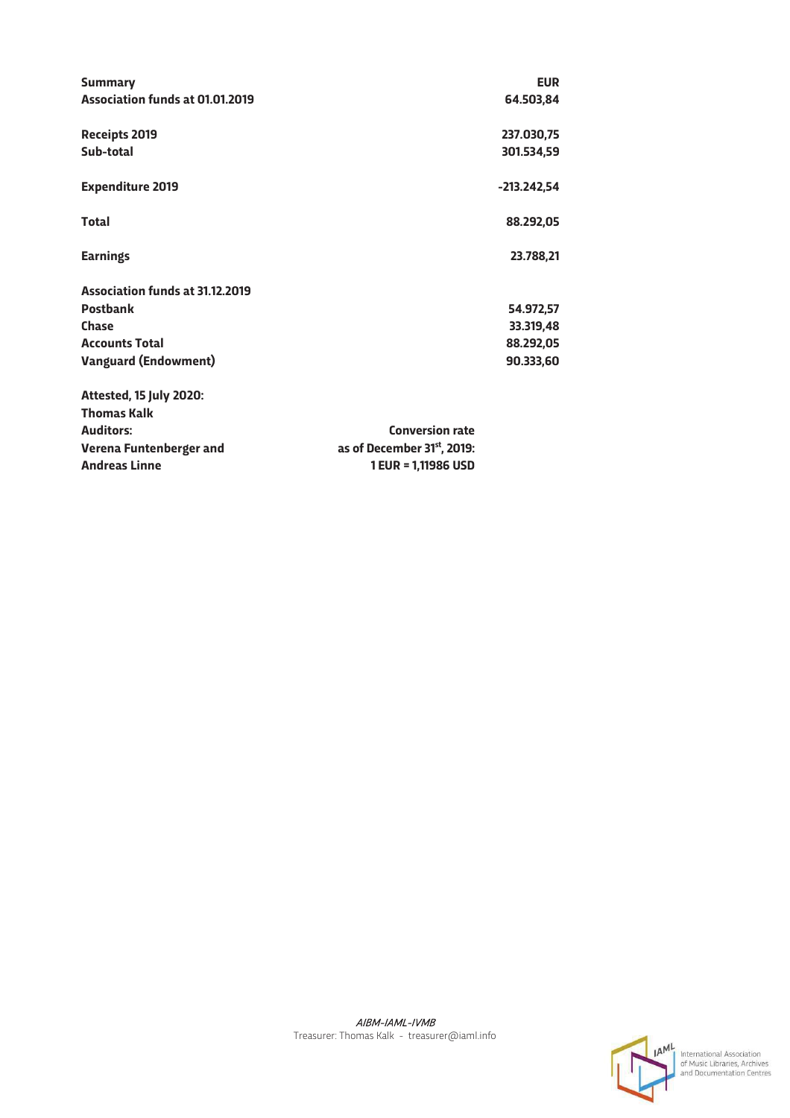| <b>Summary</b><br><b>Association funds at 01.01.2019</b>                                                                   | <b>EUR</b><br>64.503,84                                                     |
|----------------------------------------------------------------------------------------------------------------------------|-----------------------------------------------------------------------------|
| <b>Receipts 2019</b><br>Sub-total                                                                                          | 237.030,75<br>301.534,59                                                    |
| <b>Expenditure 2019</b>                                                                                                    | $-213.242,54$                                                               |
| <b>Total</b>                                                                                                               | 88.292,05                                                                   |
| <b>Earnings</b>                                                                                                            | 23.788,21                                                                   |
| <b>Association funds at 31.12.2019</b><br><b>Postbank</b><br>Chase<br><b>Accounts Total</b><br><b>Vanguard (Endowment)</b> | 54.972,57<br>33.319,48<br>88.292,05<br>90.333,60                            |
| Attested, 15 July 2020:<br><b>Thomas Kalk</b><br><b>Auditors:</b><br>Verena Funtenberger and<br><b>Andreas Linne</b>       | <b>Conversion rate</b><br>as of December 31st, 2019:<br>1 EUR = 1,11986 USD |

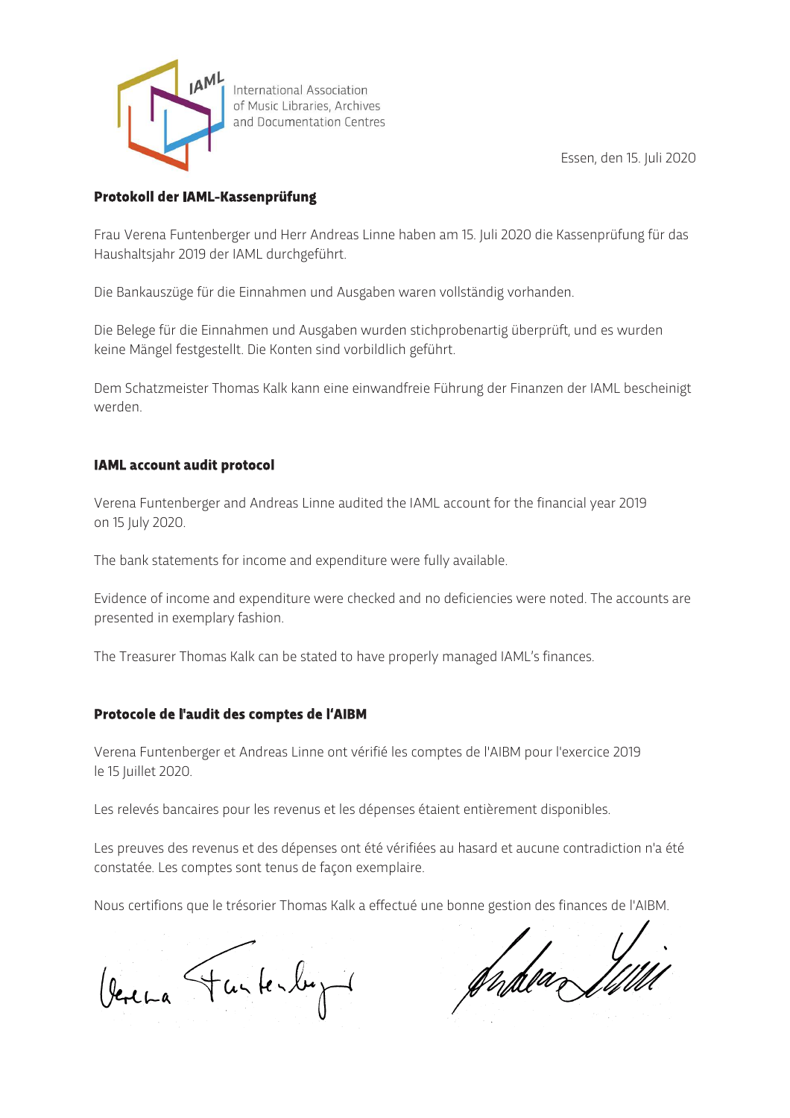

Essen, den 15. Juli 2020

#### **Protokoll der IAML-Kassenprüfung**

Frau Verena Funtenberger und Herr Andreas Linne haben am 15. Juli 2020 die Kassenprüfung für das Haushaltsjahr 2019 der IAML durchgeführt.

Die Bankauszüge für die Einnahmen und Ausgaben waren vollständig vorhanden.

Die Belege für die Einnahmen und Ausgaben wurden stichprobenartig überprüft, und es wurden keine Mängel festgestellt. Die Konten sind vorbildlich geführt.

Dem Schatzmeister Thomas Kalk kann eine einwandfreie Führung der Finanzen der IAML bescheinigt werden.

#### **IAML account audit protocol**

Verena Funtenberger and Andreas Linne audited the IAML account for the financial year 2019 on 15 July 2020.

The bank statements for income and expenditure were fully available.

Evidence of income and expenditure were checked and no deficiencies were noted. The accounts are presented in exemplary fashion.

The Treasurer Thomas Kalk can be stated to have properly managed IAML's finances.

### **Protocole de l'audit des comptes de l'AIBM**

Verena Funtenberger et Andreas Linne ont vérifié les comptes de l'AIBM pour l'exercice 2019 le 15 Juillet 2020.

Les relevés bancaires pour les revenus et les dépenses étaient entièrement disponibles.

Les preuves des revenus et des dépenses ont été vérifiées au hasard et aucune contradiction n'a été constatée. Les comptes sont tenus de façon exemplaire.

Nous certifions que le trésorier Thomas Kalk a effectué une bonne gestion des finances de l'AIBM.

Verena Hantenburg

øndea Till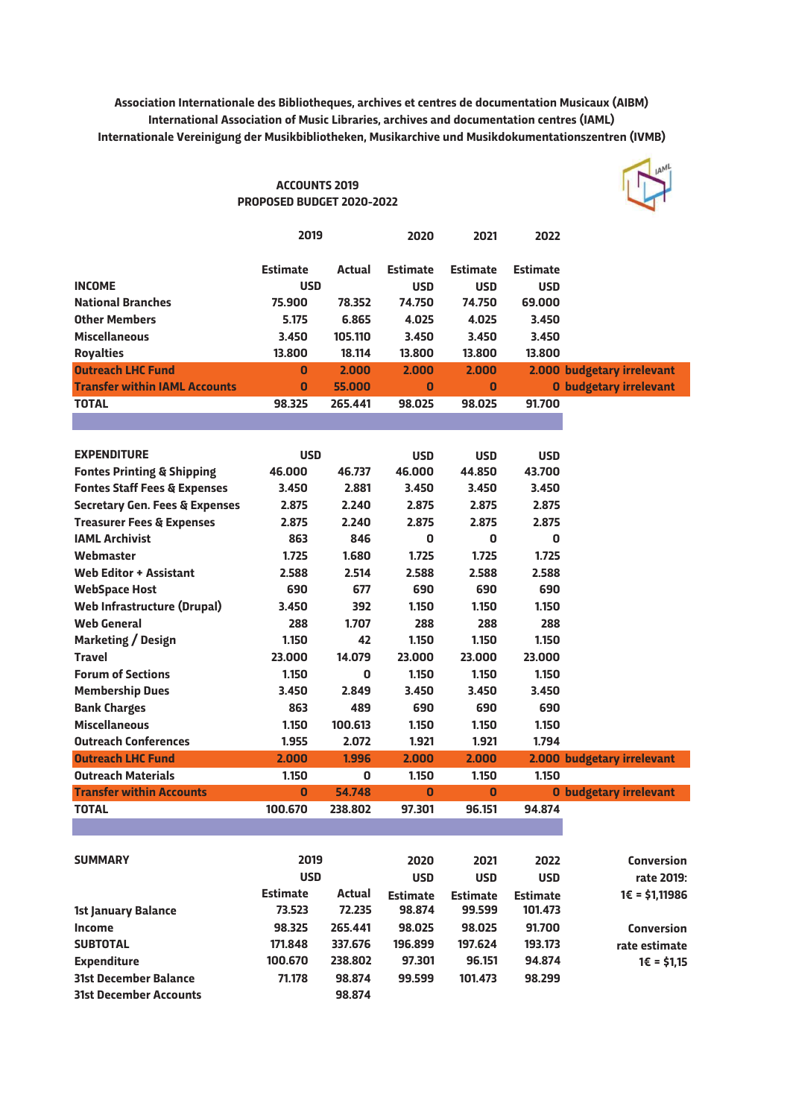**Association Internationale des Bibliotheques, archives et centres de documentation Musicaux (AIBM) International Association of Music Libraries, archives and documentation centres (IAML) Internationale Vereinigung der Musikbibliotheken, Musikarchive und Musikdokumentationszentren (IVMB)**

IAML

| PROPOSED BUDGET 2020-2022                 |                           |                         |                           |                           |                            |                               |  |
|-------------------------------------------|---------------------------|-------------------------|---------------------------|---------------------------|----------------------------|-------------------------------|--|
|                                           | 2019                      |                         | 2020                      | 2021                      | 2022                       |                               |  |
|                                           |                           |                         |                           |                           |                            |                               |  |
|                                           | <b>Estimate</b>           | Actual                  | <b>Estimate</b>           | <b>Estimate</b>           | <b>Estimate</b>            |                               |  |
| <b>INCOME</b>                             | <b>USD</b>                |                         | <b>USD</b>                | <b>USD</b>                | <b>USD</b>                 |                               |  |
| <b>National Branches</b>                  | 75.900                    | 78.352                  | 74.750                    | 74.750                    | 69.000                     |                               |  |
| <b>Other Members</b>                      | 5.175                     | 6.865                   | 4.025                     | 4.025                     | 3.450                      |                               |  |
| <b>Miscellaneous</b>                      | 3.450                     | 105.110                 | 3.450                     | 3.450                     | 3.450                      |                               |  |
| <b>Royalties</b>                          | 13.800                    | 18.114                  | 13.800                    | 13.800                    | 13.800                     |                               |  |
| <b>Outreach LHC Fund</b>                  | 0                         | 2.000                   | 2.000                     | 2.000                     |                            | 2.000 budgetary irrelevant    |  |
| <b>Transfer within IAML Accounts</b>      | $\bf{0}$                  | 55.000                  | 0                         | $\bf{0}$                  |                            | <b>0 budgetary irrelevant</b> |  |
| <b>TOTAL</b>                              | 98.325                    | 265.441                 | 98.025                    | 98.025                    | 91.700                     |                               |  |
|                                           |                           |                         |                           |                           |                            |                               |  |
| <b>EXPENDITURE</b>                        | <b>USD</b>                |                         | <b>USD</b>                | <b>USD</b>                | <b>USD</b>                 |                               |  |
| <b>Fontes Printing &amp; Shipping</b>     | 46.000                    | 46.737                  | 46.000                    | 44.850                    | 43.700                     |                               |  |
| <b>Fontes Staff Fees &amp; Expenses</b>   | 3.450                     | 2.881                   | 3.450                     | 3.450                     | 3.450                      |                               |  |
| <b>Secretary Gen. Fees &amp; Expenses</b> | 2.875                     | 2.240                   | 2.875                     | 2.875                     | 2.875                      |                               |  |
| <b>Treasurer Fees &amp; Expenses</b>      | 2.875                     | 2.240                   | 2.875                     | 2.875                     | 2.875                      |                               |  |
| <b>IAML Archivist</b>                     | 863                       | 846                     | 0                         | $\mathbf 0$               | 0                          |                               |  |
| Webmaster                                 | 1.725                     | 1.680                   | 1.725                     | 1.725                     | 1.725                      |                               |  |
| <b>Web Editor + Assistant</b>             | 2.588                     | 2.514                   | 2.588                     | 2.588                     | 2.588                      |                               |  |
| <b>WebSpace Host</b>                      | 690                       | 677                     | 690                       | 690                       | 690                        |                               |  |
| <b>Web Infrastructure (Drupal)</b>        | 3.450                     | 392                     | 1.150                     | 1.150                     | 1.150                      |                               |  |
| <b>Web General</b>                        | 288                       | 1.707                   | 288                       | 288                       | 288                        |                               |  |
| Marketing / Design                        | 1.150                     | 42                      | 1.150                     | 1.150                     | 1.150                      |                               |  |
| <b>Travel</b>                             | 23,000                    | 14.079                  | 23.000                    | 23.000                    | 23.000                     |                               |  |
| <b>Forum of Sections</b>                  | 1.150                     | 0                       | 1.150                     | 1.150                     | 1.150                      |                               |  |
| <b>Membership Dues</b>                    | 3.450                     | 2.849                   | 3.450                     | 3.450                     | 3.450                      |                               |  |
| <b>Bank Charges</b>                       | 863                       | 489                     | 690                       | 690                       | 690                        |                               |  |
| <b>Miscellaneous</b>                      | 1.150                     | 100.613                 | 1.150                     | 1.150                     | 1.150                      |                               |  |
| <b>Outreach Conferences</b>               | 1.955                     | 2.072                   | 1.921                     | 1.921                     | 1.794                      |                               |  |
| <b>Outreach LHC Fund</b>                  | 2.000                     | 1.996                   | 2.000                     | 2.000                     |                            | 2.000 budgetary irrelevant    |  |
| <b>Outreach Materials</b>                 | 1.150                     | 0                       | 1.150                     | 1.150                     | 1.150                      |                               |  |
| <b>Transfer within Accounts</b>           | $\bf{0}$                  | 54.748                  | $\bf{0}$                  | $\bf{0}$                  |                            | <b>0 budgetary irrelevant</b> |  |
| <b>TOTAL</b>                              | 100.670                   | 238.802                 | 97.301                    | 96.151                    | 94.874                     |                               |  |
|                                           |                           |                         |                           |                           |                            |                               |  |
|                                           | 2019                      |                         |                           |                           |                            |                               |  |
| <b>SUMMARY</b>                            |                           |                         | 2020                      | 2021                      | 2022                       | <b>Conversion</b>             |  |
|                                           | <b>USD</b>                |                         | <b>USD</b>                | <b>USD</b>                | <b>USD</b>                 | rate 2019:                    |  |
|                                           | <b>Estimate</b><br>73.523 | <b>Actual</b><br>72.235 | <b>Estimate</b><br>98.874 | <b>Estimate</b><br>99.599 | <b>Estimate</b><br>101.473 | 1€ = \$1,11986                |  |
| 1st January Balance<br>Income             | 98.325                    | 265.441                 | 98.025                    |                           | 91.700                     |                               |  |
|                                           |                           |                         |                           | 98.025                    |                            | Conversion                    |  |

**SUBTOTAL 171.848 337.676 196.899 197.624 193.173 rate estimate Expenditure 100.670 238.802 97.301 96.151 94.874 1€ = \$1,15 31st December Balance 71.178 98.874 99.599 101.473 98.299 31st December Accounts 98.874**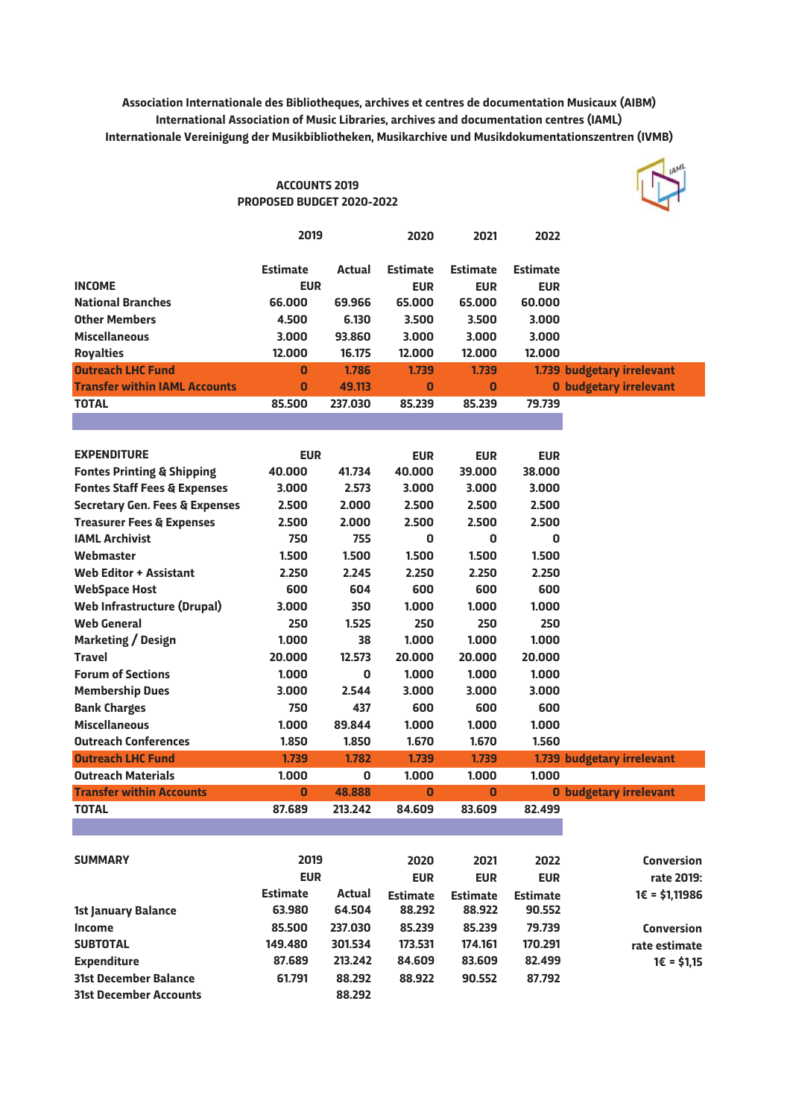**Association Internationale des Bibliotheques, archives et centres de documentation Musicaux (AIBM) International Association of Music Libraries, archives and documentation centres (IAML) Internationale Vereinigung der Musikbibliotheken, Musikarchive und Musikdokumentationszentren (IVMB)**

IAML

| <b>ACCOUNTS 2019</b><br>PROPOSED BUDGET 2020-2022 |                         |         |                 |                 |                 |                               |
|---------------------------------------------------|-------------------------|---------|-----------------|-----------------|-----------------|-------------------------------|
|                                                   | 2019                    |         | 2020            | 2021            | 2022            |                               |
|                                                   | <b>Estimate</b>         | Actual  | <b>Estimate</b> | <b>Estimate</b> | <b>Estimate</b> |                               |
| <b>INCOME</b>                                     | <b>EUR</b>              |         | <b>EUR</b>      | <b>EUR</b>      | <b>EUR</b>      |                               |
| <b>National Branches</b>                          | 66.000                  | 69.966  | 65.000          | 65.000          | 60.000          |                               |
| <b>Other Members</b>                              | 4.500                   | 6.130   | 3.500           | 3.500           | 3.000           |                               |
| <b>Miscellaneous</b>                              | 3.000                   | 93.860  | 3.000           | 3.000           | 3.000           |                               |
| <b>Royalties</b>                                  | 12.000                  | 16.175  | 12.000          | 12.000          | 12.000          |                               |
| <b>Outreach LHC Fund</b>                          | 0                       | 1.786   | 1.739           | 1.739           |                 | 1.739 budgetary irrelevant    |
| <b>Transfer within IAML Accounts</b>              | $\overline{\mathbf{0}}$ | 49.113  | $\mathbf{0}$    | $\mathbf{0}$    |                 | <b>0 budgetary irrelevant</b> |
| <b>TOTAL</b>                                      | 85.500                  | 237.030 | 85.239          | 85.239          | 79.739          |                               |
|                                                   |                         |         |                 |                 |                 |                               |
| <b>EXPENDITURE</b>                                | <b>EUR</b>              |         | <b>EUR</b>      | <b>EUR</b>      | <b>EUR</b>      |                               |
| <b>Fontes Printing &amp; Shipping</b>             | 40.000                  | 41.734  | 40.000          | 39.000          | 38.000          |                               |
| <b>Fontes Staff Fees &amp; Expenses</b>           | 3.000                   | 2.573   | 3.000           | 3.000           | 3.000           |                               |
| <b>Secretary Gen. Fees &amp; Expenses</b>         | 2.500                   | 2.000   | 2.500           | 2.500           | 2.500           |                               |
| <b>Treasurer Fees &amp; Expenses</b>              | 2.500                   | 2.000   | 2.500           | 2.500           | 2.500           |                               |
| <b>IAML Archivist</b>                             | 750                     | 755     | 0               | 0               | 0               |                               |
| Webmaster                                         | 1.500                   | 1.500   | 1.500           | 1.500           | 1.500           |                               |
| <b>Web Editor + Assistant</b>                     | 2.250                   | 2.245   | 2.250           | 2.250           | 2.250           |                               |
| <b>WebSpace Host</b>                              | 600                     | 604     | 600             | 600             | 600             |                               |
| <b>Web Infrastructure (Drupal)</b>                | 3.000                   | 350     | 1.000           | 1.000           | 1.000           |                               |
| <b>Web General</b>                                | 250                     | 1.525   | 250             | 250             | 250             |                               |
| Marketing / Design                                | 1.000                   | 38      | 1.000           | 1.000           | 1.000           |                               |
| <b>Travel</b>                                     | 20.000                  | 12.573  | 20.000          | 20.000          | 20.000          |                               |
| <b>Forum of Sections</b>                          | 1.000                   | 0       | 1.000           | 1.000           | 1.000           |                               |
| <b>Membership Dues</b>                            | 3.000                   | 2.544   | 3.000           | 3.000           | 3.000           |                               |
| <b>Bank Charges</b>                               | 750                     | 437     | 600             | 600             | 600             |                               |
| <b>Miscellaneous</b>                              | 1.000                   | 89.844  | 1.000           | 1.000           | 1.000           |                               |
| <b>Outreach Conferences</b>                       | 1.850                   | 1.850   | 1.670           | 1.670           | 1.560           |                               |
| <b>Outreach LHC Fund</b>                          | 1.739                   | 1.782   | 1.739           | 1.739           |                 | 1.739 budgetary irrelevant    |
| <b>Outreach Materials</b>                         | 1.000                   | 0       | 1.000           | 1.000           | 1.000           |                               |
| <b>Transfer within Accounts</b>                   | $\overline{\mathbf{0}}$ | 48.888  | $\bf{0}$        | $\mathbf{0}$    |                 | <b>0 budgetary irrelevant</b> |
| <b>TOTAL</b>                                      | 87.689                  | 213.242 | 84.609          | 83.609          | 82.499          |                               |
|                                                   |                         |         |                 |                 |                 |                               |
| <b>SUMMARY</b>                                    | 2019                    |         | วกวก            | 2021            | <b>2022</b>     | Conversion                    |

| <b>SUMMARY</b>                |                 | 2019<br><b>EUR</b> |                 | 2021            | 2022            | Conversion      |
|-------------------------------|-----------------|--------------------|-----------------|-----------------|-----------------|-----------------|
|                               |                 |                    |                 | <b>EUR</b>      | <b>EUR</b>      | rate 2019:      |
|                               | <b>Estimate</b> | Actual             | <b>Estimate</b> | <b>Estimate</b> | <b>Estimate</b> | 1€ = \$1,11986  |
| 1st January Balance           | 63.980          | 64.504             | 88.292          | 88.922          | 90.552          |                 |
| <b>Income</b>                 | 85,500          | 237.030            | 85.239          | 85.239          | 79.739          | Conversion      |
| <b>SUBTOTAL</b>               | 149.480         | 301.534            | 173.531         | 174.161         | 170.291         | rate estimate   |
| <b>Expenditure</b>            | 87.689          | 213.242            | 84.609          | 83.609          | 82.499          | $1 \in = $1,15$ |
| <b>31st December Balance</b>  | 61.791          | 88.292             | 88.922          | 90.552          | 87.792          |                 |
| <b>31st December Accounts</b> |                 | 88.292             |                 |                 |                 |                 |